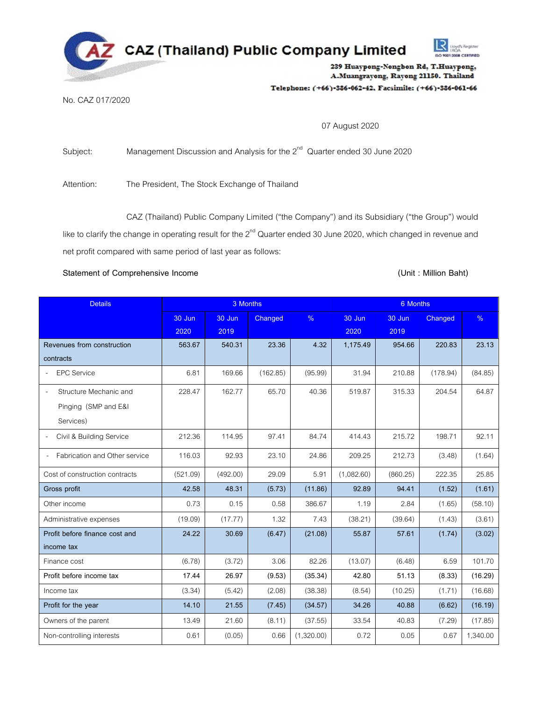

# Telephone: (+66)-386-062-42, Facsimile: (+66)-386-061-66

# No. CAZ 017/2020

07 August 2020

Subject: Management Discussion and Analysis for the  $2^{nd}$  Quarter ended 30 June 2020

Attention: The President, The Stock Exchange of Thailand

CAZ (Thailand) Public Company Limited ("the Company") and its Subsidiary ("the Group") would like to clarify the change in operating result for the  $2^{nd}$  Quarter ended 30 June 2020, which changed in revenue and net profit compared with same period of last year as follows:

# Statement of Comprehensive Income **and Comprehensive Income and Comprehensive Income and Comprehensive Income and Comprehensive Income and Comprehensive Income and Comprehensive Income and Comprehensive Income and Comprehe**

| <b>Details</b>                                                                          | 3 Months       |                |          | 6 Months      |                |                |          |          |
|-----------------------------------------------------------------------------------------|----------------|----------------|----------|---------------|----------------|----------------|----------|----------|
|                                                                                         | 30 Jun<br>2020 | 30 Jun<br>2019 | Changed  | $\frac{9}{6}$ | 30 Jun<br>2020 | 30 Jun<br>2019 | Changed  | %        |
| Revenues from construction<br>contracts                                                 | 563.67         | 540.31         | 23.36    | 4.32          | 1,175.49       | 954.66         | 220.83   | 23.13    |
| <b>EPC Service</b>                                                                      | 6.81           | 169.66         | (162.85) | (95.99)       | 31.94          | 210.88         | (178.94) | (84.85)  |
| Structure Mechanic and<br>$\overline{\phantom{a}}$<br>Pinging (SMP and E&I<br>Services) | 228.47         | 162.77         | 65.70    | 40.36         | 519.87         | 315.33         | 204.54   | 64.87    |
| Civil & Building Service                                                                | 212.36         | 114.95         | 97.41    | 84.74         | 414.43         | 215.72         | 198.71   | 92.11    |
| Fabrication and Other service                                                           | 116.03         | 92.93          | 23.10    | 24.86         | 209.25         | 212.73         | (3.48)   | (1.64)   |
| Cost of construction contracts                                                          | (521.09)       | (492.00)       | 29.09    | 5.91          | (1,082.60)     | (860.25)       | 222.35   | 25.85    |
| Gross profit                                                                            | 42.58          | 48.31          | (5.73)   | (11.86)       | 92.89          | 94.41          | (1.52)   | (1.61)   |
| Other income                                                                            | 0.73           | 0.15           | 0.58     | 386.67        | 1.19           | 2.84           | (1.65)   | (58.10)  |
| Administrative expenses                                                                 | (19.09)        | (17.77)        | 1.32     | 7.43          | (38.21)        | (39.64)        | (1.43)   | (3.61)   |
| Profit before finance cost and<br>income tax                                            | 24.22          | 30.69          | (6.47)   | (21.08)       | 55.87          | 57.61          | (1.74)   | (3.02)   |
| Finance cost                                                                            | (6.78)         | (3.72)         | 3.06     | 82.26         | (13.07)        | (6.48)         | 6.59     | 101.70   |
| Profit before income tax                                                                | 17.44          | 26.97          | (9.53)   | (35.34)       | 42.80          | 51.13          | (8.33)   | (16.29)  |
| Income tax                                                                              | (3.34)         | (5.42)         | (2.08)   | (38.38)       | (8.54)         | (10.25)        | (1.71)   | (16.68)  |
| Profit for the year                                                                     | 14.10          | 21.55          | (7.45)   | (34.57)       | 34.26          | 40.88          | (6.62)   | (16.19)  |
| Owners of the parent                                                                    | 13.49          | 21.60          | (8.11)   | (37.55)       | 33.54          | 40.83          | (7.29)   | (17.85)  |
| Non-controlling interests                                                               | 0.61           | (0.05)         | 0.66     | (1,320.00)    | 0.72           | 0.05           | 0.67     | 1,340.00 |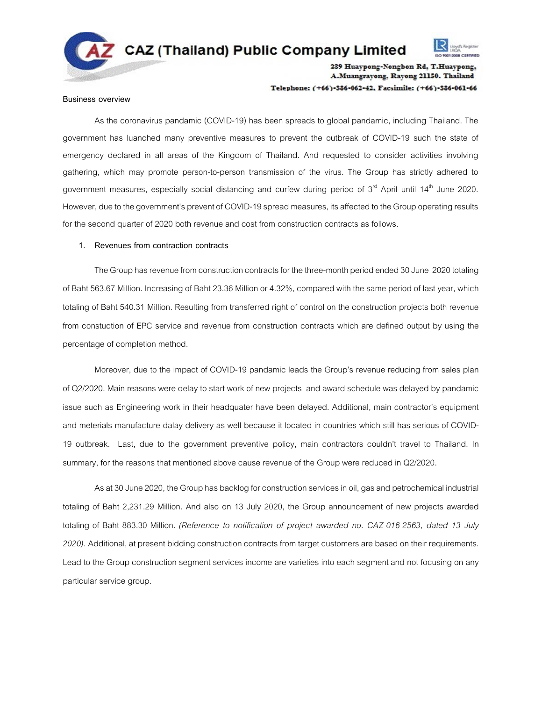



239 Huaypong-Nongbon Rd, T.Huaypong, A.Muangrayong, Rayong 21150. Thailand Telephone: (+66)-386-062-42. Facsimile: (+66)-386-061-66

#### **Business overview**

As the coronavirus pandamic (COVID-19) has been spreads to global pandamic, including Thailand. The government has luanched many preventive measures to prevent the outbreak of COVID-19 such the state of emergency declared in all areas of the Kingdom of Thailand. And requested to consider activities involving gathering, which may promote person-to-person transmission of the virus. The Group has strictly adhered to government measures, especially social distancing and curfew during period of  $3<sup>rd</sup>$  April until 14<sup>th</sup> June 2020. However, due to the government's prevent of COVID-19 spread measures, its affected to the Group operating results for the second quarter of 2020 both revenue and cost from construction contracts as follows.

# **1. Revenues from contraction contracts**

The Group has revenue from construction contracts for the three-month period ended 30 June 2020 totaling of Baht 563.67 Million. Increasing of Baht 23.36 Million or 4.32%, compared with the same period of last year, which totaling of Baht 540.31 Million. Resulting from transferred right of control on the construction projects both revenue from constuction of EPC service and revenue from construction contracts which are defined output by using the percentage of completion method.

Moreover, due to the impact of COVID-19 pandamic leads the Group's revenue reducing from sales plan of Q2/2020. Main reasons were delay to start work of new projects and award schedule was delayed by pandamic issue such as Engineering work in their headquater have been delayed. Additional, main contractor's equipment and meterials manufacture dalay delivery as well because it located in countries which still has serious of COVID-19 outbreak. Last, due to the government preventive policy, main contractors couldn't travel to Thailand. In summary, for the reasons that mentioned above cause revenue of the Group were reduced in Q2/2020.

As at 30 June 2020, the Group has backlog for construction services in oil, gas and petrochemical industrial totaling of Baht 2,231.29 Million. And also on 13 July 2020, the Group announcement of new projects awarded totaling of Baht 883.30 Million. *(Reference to notification of project awarded no. CAZ-016-2563, dated 13 July*  2020). Additional, at present bidding construction contracts from target customers are based on their requirements. Lead to the Group construction segment services income are varieties into each segment and not focusing on any particular service group.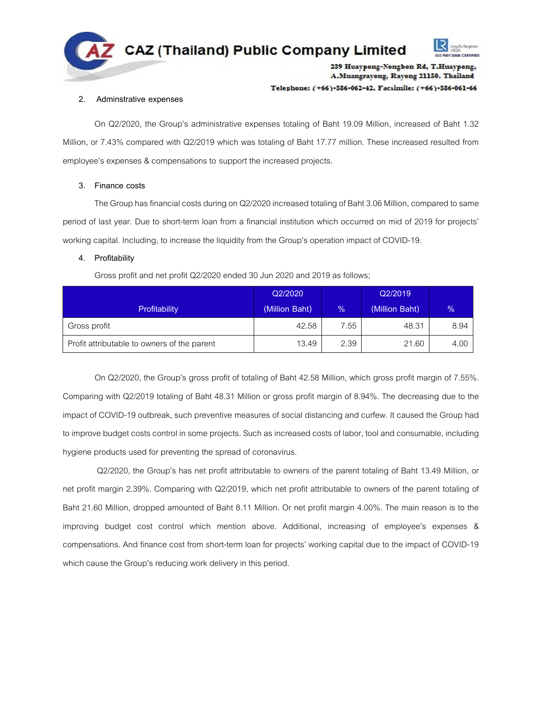

Telephone: (+66)-386-062-42. Facsimile: (+66)-386-061-66

# **2. Adminstrative expenses**

On Q2/2020, the Group's administrative expenses totaling of Baht 19.09 Million, increased of Baht 1.32 Million, or 7.43% compared with Q2/2019 which was totaling of Baht 17.77 million. These increased resulted from employee's expenses & compensations to support the increased projects.

# **3. Finance costs**

The Group has financial costs during on Q2/2020 increased totaling of Baht 3.06 Million, compared to same period of last year. Due to short-term loan from a financial institution which occurred on mid of 2019 for projects' working capital. Including, to increase the liquidity from the Group's operation impact of COVID-19.

# **4. Profitability**

Gross profit and net profit Q2/2020 ended 30 Jun 2020 and 2019 as follows;

|                                             | Q2/2020        |               | Q2/2019        |                |
|---------------------------------------------|----------------|---------------|----------------|----------------|
| Profitability                               | (Million Baht) | $\frac{9}{6}$ | (Million Baht) | $\frac{10}{2}$ |
| Gross profit                                | 42.58          | 7.55          | 48.31          | 8.94           |
| Profit attributable to owners of the parent | 13.49          | 2.39          | 21.60          | 4.00           |

On Q2/2020, the Group's gross profit of totaling of Baht 42.58 Million, which gross profit margin of 7.55%. Comparing with Q2/2019 totaling of Baht 48.31 Million or gross profit margin of 8.94%. The decreasing due to the impact of COVID-19 outbreak, such preventive measures of social distancing and curfew. It caused the Group had to improve budget costs control in some projects. Such as increased costs of labor, tool and consumable, including hygiene products used for preventing the spread of coronavirus.

Q2/2020, the Group's has net profit attributable to owners of the parent totaling of Baht 13.49 Million, or net profit margin 2.39%. Comparing with Q2/2019, which net profit attributable to owners of the parent totaling of Baht 21.60 Million, dropped amounted of Baht 8.11 Million. Or net profit margin 4.00%. The main reason is to the improving budget cost control which mention above. Additional, increasing of employee's expenses & compensations. And finance cost from short-term loan for projects' working capital due to the impact of COVID-19 which cause the Group's reducing work delivery in this period.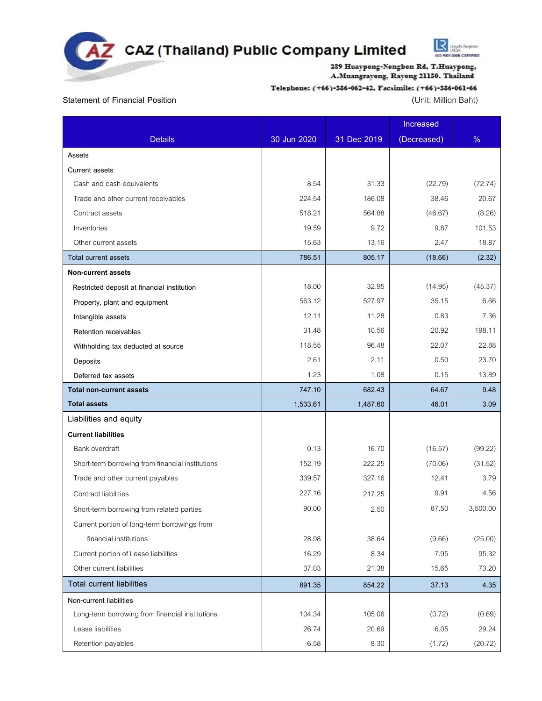

# Telephone: (+66)-386-062-42, Facsimile: (+66)-386-061-66

# **Statement of Financial Position (**Unit: Million Baht)

**R** Unyth Register

|                                                  |             |             | Increased   |          |
|--------------------------------------------------|-------------|-------------|-------------|----------|
| <b>Details</b>                                   | 30 Jun 2020 | 31 Dec 2019 | (Decreased) | %        |
| Assets                                           |             |             |             |          |
| <b>Current assets</b>                            |             |             |             |          |
| Cash and cash equivalents                        | 8.54        | 31.33       | (22.79)     | (72.74)  |
| Trade and other current receivables              | 224.54      | 186.08      | 38.46       | 20.67    |
| Contract assets                                  | 518.21      | 564.88      | (46.67)     | (8.26)   |
| Inventories                                      | 19.59       | 9.72        | 9.87        | 101.53   |
| Other current assets                             | 15.63       | 13.16       | 2.47        | 18.87    |
| <b>Total current assets</b>                      | 786.51      | 805.17      | (18.66)     | (2.32)   |
| <b>Non-current assets</b>                        |             |             |             |          |
| Restricted deposit at financial institution      | 18.00       | 32.95       | (14.95)     | (45.37)  |
| Property, plant and equipment                    | 563.12      | 527.97      | 35.15       | 6.66     |
| Intangible assets                                | 12.11       | 11.28       | 0.83        | 7.36     |
| Retention receivables                            | 31.48       | 10.56       | 20.92       | 198.11   |
| Withholding tax deducted at source               | 118.55      | 96.48       | 22.07       | 22.88    |
| Deposits                                         | 2.61        | 2.11        | 0.50        | 23.70    |
| Deferred tax assets                              | 1.23        | 1.08        | 0.15        | 13.89    |
| <b>Total non-current assets</b>                  | 747.10      | 682.43      | 64.67       | 9.48     |
| <b>Total assets</b>                              | 1,533.61    | 1,487.60    | 46.01       | 3.09     |
| Liabilities and equity                           |             |             |             |          |
| <b>Current liabilities</b>                       |             |             |             |          |
| Bank overdraft                                   | 0.13        | 16.70       | (16.57)     | (99.22)  |
| Short-term borrowing from financial institutions | 152.19      | 222.25      | (70.06)     | (31.52)  |
| Trade and other current payables                 | 339.57      | 327.16      | 12.41       | 3.79     |
| Contract liabilities                             | 227.16      | 217.25      | 9.91        | 4.56     |
| Short-term borrowing from related parties        | 90.00       | 2.50        | 87.50       | 3,500.00 |
| Current portion of long-term borrowings from     |             |             |             |          |
| financial institutions                           | 28.98       | 38.64       | (9.66)      | (25.00)  |
| Current portion of Lease liabilities             | 16.29       | 8.34        | 7.95        | 95.32    |
| Other current liabilities                        | 37.03       | 21.38       | 15.65       | 73.20    |
| <b>Total current liabilities</b>                 | 891.35      | 854.22      | 37.13       | 4.35     |
| Non-current liabilities                          |             |             |             |          |
| Long-term borrowing from financial institutions  | 104.34      | 105.06      | (0.72)      | (0.69)   |
| Lease liabilities                                | 26.74       | 20.69       | 6.05        | 29.24    |
| Retention payables                               | 6.58        | 8.30        | (1.72)      | (20.72)  |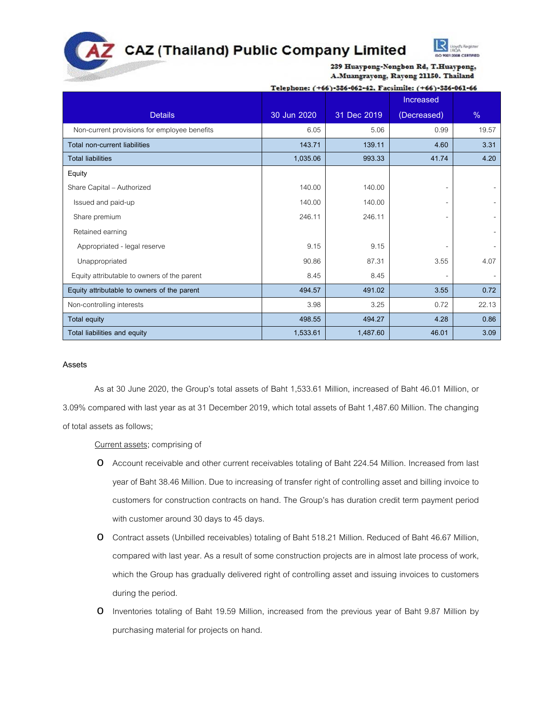# **CAZ (Thailand) Public Company Limited**



239 Huaypong-Nongbon Rd, T.Huaypong, A.Muangrayong, Rayong 21150. Thailand

# Telephone: (+66)-386-062-42, Facsimile: (+66)-386-061-66

|                                              |             |             | Increased   |       |
|----------------------------------------------|-------------|-------------|-------------|-------|
| <b>Details</b>                               | 30 Jun 2020 | 31 Dec 2019 | (Decreased) | $\%$  |
| Non-current provisions for employee benefits | 6.05        | 5.06        | 0.99        | 19.57 |
| <b>Total non-current liabilities</b>         | 143.71      | 139.11      | 4.60        | 3.31  |
| <b>Total liabilities</b>                     | 1,035.06    | 993.33      | 41.74       | 4.20  |
| Equity                                       |             |             |             |       |
| Share Capital - Authorized                   | 140.00      | 140.00      |             |       |
| Issued and paid-up                           | 140.00      | 140.00      |             |       |
| Share premium                                | 246.11      | 246.11      |             |       |
| Retained earning                             |             |             |             |       |
| Appropriated - legal reserve                 | 9.15        | 9.15        |             |       |
| Unappropriated                               | 90.86       | 87.31       | 3.55        | 4.07  |
| Equity attributable to owners of the parent  | 8.45        | 8.45        |             |       |
| Equity attributable to owners of the parent  | 494.57      | 491.02      | 3.55        | 0.72  |
| Non-controlling interests                    | 3.98        | 3.25        | 0.72        | 22.13 |
| Total equity                                 | 498.55      | 494.27      | 4.28        | 0.86  |
| Total liabilities and equity                 | 1,533.61    | 1,487.60    | 46.01       | 3.09  |

# **Assets**

As at 30 June 2020, the Group's total assets of Baht 1,533.61 Million, increased of Baht 46.01 Million, or 3.09% compared with last year as at 31 December 2019, which total assets of Baht 1,487.60 Million. The changing of total assets as follows;

Current assets; comprising of

- o Account receivable and other current receivables totaling of Baht 224.54 Million. Increased from last year of Baht 38.46 Million. Due to increasing of transfer right of controlling asset and billing invoice to customers for construction contracts on hand. The Group's has duration credit term payment period with customer around 30 days to 45 days.
- o Contract assets (Unbilled receivables) totaling of Baht 518.21 Million. Reduced of Baht 46.67 Million, compared with last year. As a result of some construction projects are in almost late process of work, which the Group has gradually delivered right of controlling asset and issuing invoices to customers during the period.
- o Inventories totaling of Baht 19.59 Million, increased from the previous year of Baht 9.87 Million by purchasing material for projects on hand.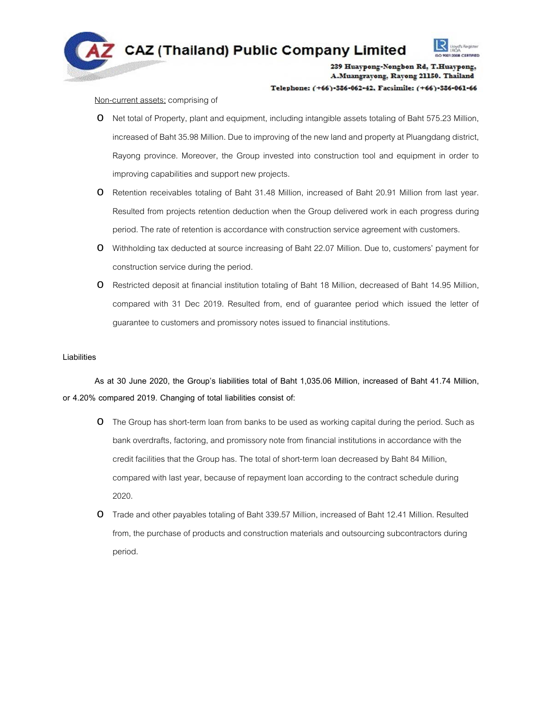

Telephone: (+66)-386-062-42. Facsimile: (+66)-386-061-66

### Non-current assets; comprising of

- o Net total of Property, plant and equipment, including intangible assets totaling of Baht 575.23 Million, increased of Baht 35.98 Million. Due to improving of the new land and property at Pluangdang district, Rayong province. Moreover, the Group invested into construction tool and equipment in order to improving capabilities and support new projects.
- o Retention receivables totaling of Baht 31.48 Million, increased of Baht 20.91 Million from last year. Resulted from projects retention deduction when the Group delivered work in each progress during period. The rate of retention is accordance with construction service agreement with customers.
- o Withholding tax deducted at source increasing of Baht 22.07 Million. Due to, customers' payment for construction service during the period.
- o Restricted deposit at financial institution totaling of Baht 18 Million, decreased of Baht 14.95 Million, compared with 31 Dec 2019. Resulted from, end of guarantee period which issued the letter of guarantee to customers and promissory notes issued to financial institutions.

# **Liabilities**

As at 30 June 2020, the Group's liabilities total of Baht 1,035.06 Million, increased of Baht 41.74 Million, or 4.20% compared 2019. Changing of total liabilities consist of:

- O The Group has short-term loan from banks to be used as working capital during the period. Such as bank overdrafts, factoring, and promissory note from financial institutions in accordance with the credit facilities that the Group has. The total of short-term loan decreased by Baht 84 Million, compared with last year, because of repayment loan according to the contract schedule during 2020.
- o Trade and other payables totaling of Baht 339.57 Million, increased of Baht 12.41 Million. Resulted from, the purchase of products and construction materials and outsourcing subcontractors during period.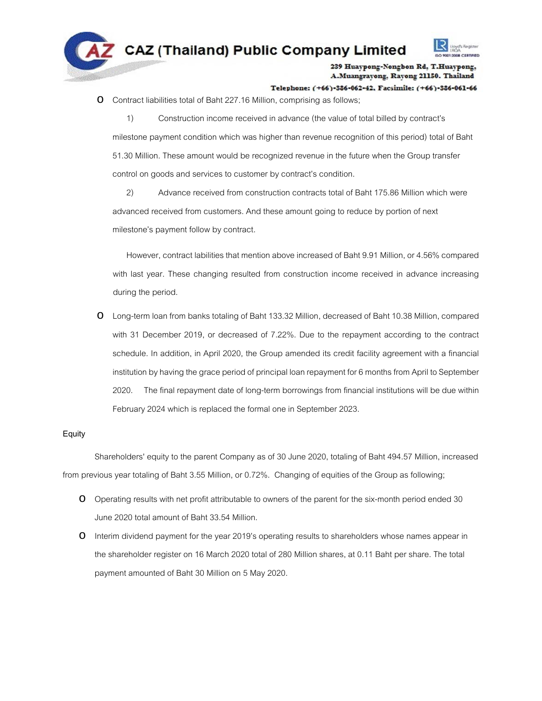

# Telephone: (+66)-386-062-42, Facsimile: (+66)-386-061-66

o Contract liabilities total of Baht 227.16 Million, comprising as follows;

1) Construction income received in advance (the value of total billed by contract's milestone payment condition which was higher than revenue recognition of this period) total of Baht 51.30 Million. These amount would be recognized revenue in the future when the Group transfer control on goods and services to customer by contract's condition.

2) Advance received from construction contracts total of Baht 175.86 Million which were advanced received from customers. And these amount going to reduce by portion of next milestone's payment follow by contract.

However, contract labilities that mention above increased of Baht 9.91 Million, or 4.56% compared with last year. These changing resulted from construction income received in advance increasing during the period.

o Long-term loan from banks totaling of Baht 133.32 Million, decreased of Baht 10.38 Million, compared with 31 December 2019, or decreased of 7.22%. Due to the repayment according to the contract schedule. In addition, in April 2020, the Group amended its credit facility agreement with a financial institution by having the grace period of principal loan repayment for 6 months from April to September 2020. The final repayment date of long-term borrowings from financial institutions will be due within February 2024 which is replaced the formal one in September 2023.

# **Equity**

Shareholders' equity to the parent Company as of 30 June 2020, totaling of Baht 494.57 Million, increased from previous year totaling of Baht 3.55 Million, or 0.72%. Changing of equities of the Group as following;

- o Operating results with net profit attributable to owners of the parent for the six-month period ended 30 June2020 total amount of Baht 33.54 Million.
- o Interim dividend payment for the year 2019's operating results to shareholders whose names appear in the shareholder register on 16 March 2020 total of 280 Million shares, at 0.11 Baht per share. The total payment amounted of Baht 30 Million on 5 May 2020.